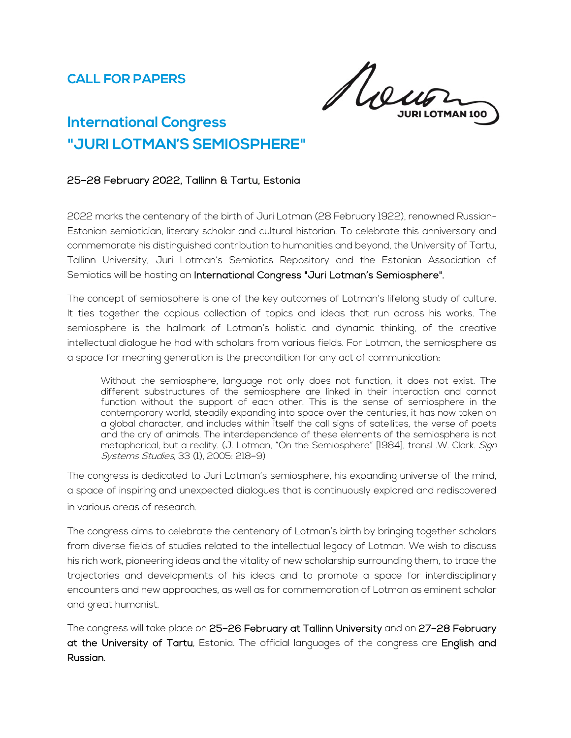Rou

# **International Congress "JURI LOTMAN'S SEMIOSPHERE"**

# 25–28 February 2022, Tallinn & Tartu, Estonia

2022 marks the centenary of the birth of Juri Lotman (28 February 1922), renowned Russian-Estonian semiotician, literary scholar and cultural historian. To celebrate this anniversary and commemorate his distinguished contribution to humanities and beyond, the University of Tartu, Tallinn University, Juri Lotman's Semiotics Repository and the Estonian Association of Semiotics will be hosting an International Congress "Juri Lotman's Semiosphere".

The concept of semiosphere is one of the key outcomes of Lotman's lifelong study of culture. It ties together the copious collection of topics and ideas that run across his works. The semiosphere is the hallmark of Lotman's holistic and dynamic thinking, of the creative intellectual dialogue he had with scholars from various fields. For Lotman, the semiosphere as a space for meaning generation is the precondition for any act of communication:

Without the semiosphere, language not only does not function, it does not exist. The different substructures of the semiosphere are linked in their interaction and cannot function without the support of each other. This is the sense of semiosphere in the contemporary world, steadily expanding into space over the centuries, it has now taken on a global character, and includes within itself the call signs of satellites, the verse of poets and the cry of animals. The interdependence of these elements of the semiosphere is not metaphorical, but a reality. (J. Lotman, "On the Semiosphere" [1984], transl .W. Clark. Sign Systems Studies, 33 (1), 2005: 218–9)

The congress is dedicated to Juri Lotman's semiosphere, his expanding universe of the mind, a space of inspiring and unexpected dialogues that is continuously explored and rediscovered in various areas of research.

The congress aims to celebrate the centenary of Lotman's birth by bringing together scholars from diverse fields of studies related to the intellectual legacy of Lotman. We wish to discuss his rich work, pioneering ideas and the vitality of new scholarship surrounding them, to trace the trajectories and developments of his ideas and to promote a space for interdisciplinary encounters and new approaches, as well as for commemoration of Lotman as eminent scholar and great humanist.

The congress will take place on 25–26 February at Tallinn University and on 27–28 February at the University of Tartu, Estonia. The official languages of the congress are English and Russian.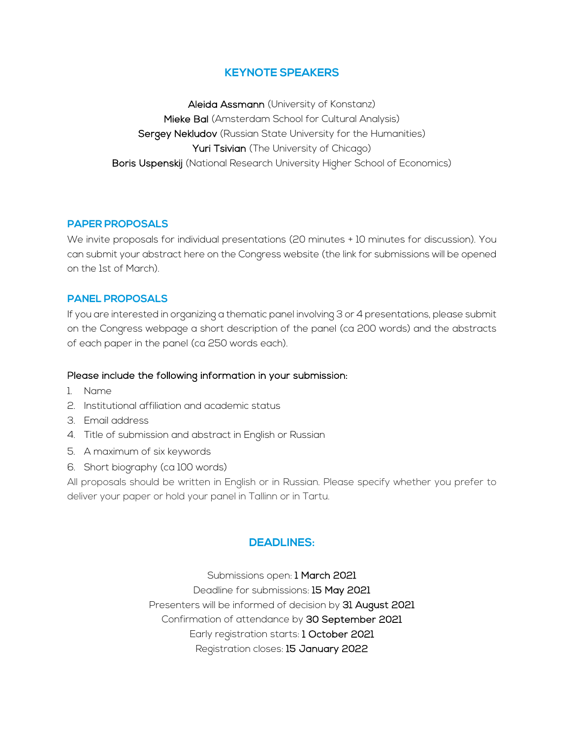# **KEYNOTE SPEAKERS**

Aleida Assmann (University of Konstanz) Mieke Bal (Amsterdam School for Cultural Analysis) Sergey Nekludov (Russian State University for the Humanities) Yuri Tsivian (The University of Chicago) Boris Uspenskij (National Research University Higher School of Economics)

## **PAPER PROPOSALS**

We invite proposals for individual presentations (20 minutes + 10 minutes for discussion). You can submit your abstract here on the Congress website (the link for submissions will be opened on the 1st of March).

## **PANEL PROPOSALS**

If you are interested in organizing a thematic panel involving 3 or 4 presentations, please submit on the Congress webpage a short description of the panel (ca 200 words) and the abstracts of each paper in the panel (ca 250 words each).

#### Please include the following information in your submission:

- 1. Name
- 2. Institutional affiliation and academic status
- 3. Email address
- 4. Title of submission and abstract in English or Russian
- 5. A maximum of six keywords
- 6. Short biography (ca 100 words)

All proposals should be written in English or in Russian. Please specify whether you prefer to deliver your paper or hold your panel in Tallinn or in Tartu.

## **DEADLINES:**

Submissions open: 1 March 2021 Deadline for submissions: 15 May 2021 Presenters will be informed of decision by 31 August 2021 Confirmation of attendance by 30 September 2021 Early registration starts: 1 October 2021 Registration closes: 15 January 2022